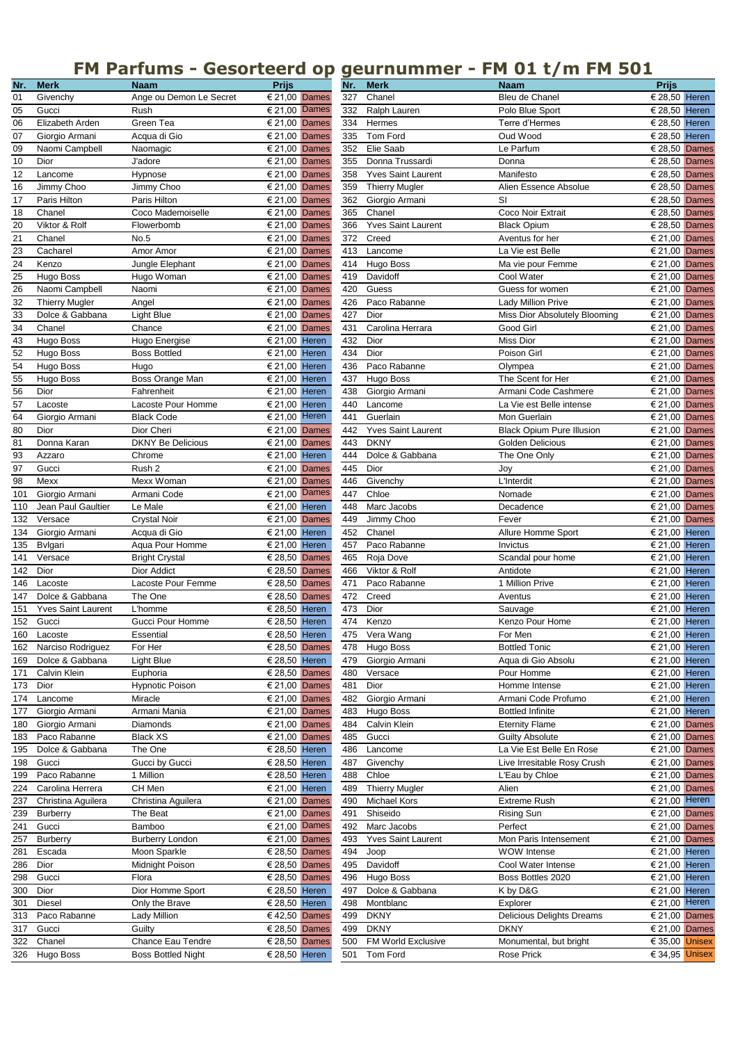## **FM Parfums - Gesorteerd op geurnummer - FM 01 t/m FM 501**

| Nr. | <b>Merk</b>               | <b>Naam</b>               | <b>Prijs</b>                    |
|-----|---------------------------|---------------------------|---------------------------------|
| 01  | Givenchy                  | Ange ou Demon Le Secret   | € 21,00 Dames                   |
| 05  | Gucci                     | Rush                      | Dames<br>€ 21,00                |
| 06  | Elizabeth Arden           | Green Tea                 | € 21,00 Dames                   |
| 07  | Giorgio Armani            | Acqua di Gio              | € 21,00 Dames                   |
| 09  | Naomi Campbell            | Naomagic                  | € 21,00 Dames                   |
| 10  | Dior                      | J'adore                   | € 21,00 Dames                   |
| 12  | Lancome                   | Hypnose                   | € 21,00 Dames                   |
| 16  | Jimmy Choo                | Jimmy Choo                | € 21,00 Dames                   |
| 17  | Paris Hilton              | Paris Hilton              | € 21,00 Dames                   |
| 18  | Chanel                    | Coco Mademoiselle         | € 21,00 Dames                   |
| 20  | Viktor & Rolf             | Flowerbomb                | € 21,00 Dames                   |
| 21  | Chanel                    | No.5                      | € 21,00 Dames                   |
|     |                           |                           |                                 |
| 23  | Cacharel                  | Amor Amor                 | € 21,00 Dames                   |
| 24  | Kenzo                     | Jungle Elephant           | € 21,00 Dames                   |
| 25  | Hugo Boss                 | Hugo Woman                | € 21,00 Dames                   |
| 26  | Naomi Campbell            | Naomi                     | € 21,00 Dames                   |
| 32  | <b>Thierry Mugler</b>     | Angel                     | € 21,00 Dames                   |
| 33  | Dolce & Gabbana           | Light Blue                | € 21,00 Dames                   |
| 34  | Chanel                    | Chance                    | € 21,00 Dames                   |
| 43  | Hugo Boss                 | Hugo Energise             | € 21,00 Heren                   |
| 52  | Hugo Boss                 | <b>Boss Bottled</b>       | € 21,00 Heren                   |
| 54  | Hugo Boss                 | Hugo                      | € 21,00 Heren                   |
| 55  | Hugo Boss                 | Boss Orange Man           | € 21,00 Heren                   |
| 56  | Dior                      | Fahrenheit                | € 21,00 Heren                   |
| 57  | Lacoste                   | Lacoste Pour Homme        | € 21,00 Heren                   |
| 64  | Giorgio Armani            | <b>Black Code</b>         | € 21,00 Heren                   |
| 80  | Dior                      | Dior Cheri                | € 21,00 Dames                   |
| 81  | Donna Karan               | <b>DKNY Be Delicious</b>  | € 21,00 Dames                   |
| 93  | Azzaro                    | Chrome                    | € 21,00 Heren                   |
|     |                           |                           |                                 |
| 97  | Gucci                     | Rush <sub>2</sub>         | € 21,00 Dames                   |
| 98  | Mexx                      | Mexx Woman                | € 21,00 Dames                   |
| 101 | Giorgio Armani            | Armani Code               | Dames<br>€ 21,00                |
| 110 | Jean Paul Gaultier        | Le Male                   | € 21,00 Heren                   |
| 132 | Versace                   | <b>Crystal Noir</b>       | € 21,00 Dames                   |
| 134 | Giorgio Armani            | Acqua di Gio              | € 21,00 Heren                   |
| 135 | Bvlgari                   | Aqua Pour Homme           | € 21,00 Heren                   |
| 141 | Versace                   | <b>Bright Crystal</b>     | € 28,50 Dames                   |
| 142 | Dior                      | Dior Addict               | € 28,50 Dames                   |
| 146 | Lacoste                   | Lacoste Pour Femme        | € 28,50 Dames                   |
| 147 | Dolce & Gabbana           | The One                   | € 28,50 Dames                   |
| 151 | <b>Yves Saint Laurent</b> | L'homme                   | € 28,50 Heren                   |
| 152 | Gucci                     | Gucci Pour Homme          | € 28,50 Heren                   |
| 160 | Lacoste                   | Essential                 | € 28,50 Heren                   |
| 162 | Narciso Rodriguez         | For Her                   | € 28,50 Dames                   |
| 169 | Dolce & Gabbana           | Light Blue                | € 28,50 Heren                   |
| 171 | Calvin Klein              | Euphoria                  | € 28,50 Dames                   |
| 173 | Dior                      | <b>Hypnotic Poison</b>    | € 21,00 Dames                   |
| 174 | Lancome                   | Miracle                   | € 21,00 Dames                   |
| 177 | Giorgio Armani            | Armani Mania              | € 21,00 Dames                   |
| 180 |                           |                           | € 21,00 Dames                   |
|     | Giorgio Armani            | Diamonds                  |                                 |
| 183 | Paco Rabanne              | <b>Black XS</b>           | € 21,00<br>Dames                |
| 195 | Dolce & Gabbana           | The One                   | € 28,50 Heren                   |
| 198 | Gucci                     | Gucci by Gucci            | € 28,50 Heren                   |
| 199 | Paco Rabanne              | 1 Million                 | € 28,50 Heren                   |
| 224 | Carolina Herrera          | CH Men                    | € 21,00 Heren                   |
| 237 | Christina Aguilera        | Christina Aguilera        | € 21,00 Dames                   |
| 239 | <b>Burberry</b>           | The Beat                  | € 21,00 Dames                   |
| 241 | Gucci                     | Bamboo                    | Dames<br>€ 21,00                |
| 257 | <b>Burberry</b>           | <b>Burberry London</b>    | $\overline{€}$ 21,00  <br>Dames |
| 281 | Escada                    | Moon Sparkle              | € 28,50 Dames                   |
| 286 | Dior                      | Midnight Poison           | € 28,50 Dames                   |
| 298 | Gucci                     | Flora                     | € 28,50 Dames                   |
| 300 | Dior                      | Dior Homme Sport          | € 28,50 Heren                   |
| 301 | Diesel                    | Only the Brave            | € 28,50 Heren                   |
| 313 |                           | <b>Lady Million</b>       |                                 |
|     | Paco Rabanne              |                           | € 42,50 Dames                   |
| 317 | Gucci                     | Guilty                    | € 28,50<br>Dames                |
| 322 | Chanel                    | Chance Eau Tendre         | € 28,50 Dames                   |
| 326 | Hugo Boss                 | <b>Boss Bottled Night</b> | € 28,50 Heren                   |

| Nr. | <b>Merk</b>               | <b>Naam</b>               | <b>Prijs</b>                      | Nr. | <b>Merk</b>               | <b>Naam</b>                      | <b>Prijs</b>           |  |
|-----|---------------------------|---------------------------|-----------------------------------|-----|---------------------------|----------------------------------|------------------------|--|
| 01  | Givenchy                  | Ange ou Demon Le Secret   | € 21,00 Dames                     | 327 | Chanel                    | Bleu de Chanel                   | € 28,50 Heren          |  |
| 05  | Gucci                     | Rush                      | $\epsilon$ 21,00 Dames            | 332 | Ralph Lauren              | Polo Blue Sport                  | € 28,50 Heren          |  |
| 06  | Elizabeth Arden           | Green Tea                 | € 21,00 Dames                     | 334 | Hermes                    | Terre d'Hermes                   | € 28,50 Heren          |  |
|     |                           |                           |                                   |     |                           |                                  |                        |  |
| 07  | Giorgio Armani            | Acqua di Gio              | € 21,00 Dames                     | 335 | Tom Ford                  | Oud Wood                         | € 28,50 Heren          |  |
| 09  | Naomi Campbell            | Naomagic                  | € 21,00 Dames                     | 352 | Elie Saab                 | Le Parfum                        | € 28,50 Dames          |  |
| 10  | Dior                      | J'adore                   | € 21,00 Dames                     | 355 | Donna Trussardi           | Donna                            | € 28,50 Dames          |  |
| 12  | Lancome                   | Hypnose                   | € 21,00 Dames                     | 358 | <b>Yves Saint Laurent</b> | Manifesto                        | € 28,50 Dames          |  |
| 16  | Jimmy Choo                | Jimmy Choo                | € 21,00 Dames                     | 359 | <b>Thierry Mugler</b>     | Alien Essence Absolue            | € 28,50 Dames          |  |
| 17  | Paris Hilton              | Paris Hilton              | € 21,00 Dames                     | 362 | Giorgio Armani            | <b>SI</b>                        | € 28,50 Dames          |  |
| 18  | Chanel                    | Coco Mademoiselle         | $\sqrt{\epsilon}$ 21,00 Dames     | 365 | Chanel                    | Coco Noir Extrait                | € 28,50 Dames          |  |
| 20  | Viktor & Rolf             | Flowerbomb                | € 21,00 Dames                     | 366 | <b>Yves Saint Laurent</b> | <b>Black Opium</b>               | € 28,50 Dames          |  |
| 21  | Chanel                    | No.5                      | € 21,00 Dames                     | 372 | Creed                     | Aventus for her                  | € 21,00 Dames          |  |
| 23  |                           |                           |                                   |     | Lancome                   |                                  | € 21,00 Dames          |  |
|     | Cacharel                  | Amor Amor                 | € 21,00 Dames                     | 413 |                           | La Vie est Belle                 |                        |  |
| 24  | Kenzo                     | Jungle Elephant           | € 21,00 Dames                     | 414 | Hugo Boss                 | Ma vie pour Femme                | € 21,00 Dames          |  |
| 25  | Hugo Boss                 | Hugo Woman                | € 21,00 Dames                     | 419 | Davidoff                  | Cool Water                       | € 21,00 Dames          |  |
| 26  | Naomi Campbell            | Naomi                     | € 21,00 Dames                     | 420 | Guess                     | Guess for women                  | € 21,00 Dames          |  |
| 32  | Thierry Mugler            | Angel                     | € 21,00 Dames                     | 426 | Paco Rabanne              | <b>Lady Million Prive</b>        | € 21,00 Dames          |  |
| 33  | Dolce & Gabbana           | Light Blue                | € 21,00 Dames                     | 427 | Dior                      | Miss Dior Absolutely Blooming    | € 21,00 Dames          |  |
| 34  | Chanel                    | Chance                    | € 21,00 Dames                     | 431 | Carolina Herrara          | Good Girl                        | € 21,00 Dames          |  |
| 43  | Hugo Boss                 | Hugo Energise             | € 21,00 Heren                     | 432 | Dior                      | <b>Miss Dior</b>                 | € 21,00 Dames          |  |
|     |                           |                           |                                   |     | Dior                      |                                  |                        |  |
| 52  | Hugo Boss                 | <b>Boss Bottled</b>       | € 21,00 Heren                     | 434 |                           | Poison Girl                      | € 21,00 Dames          |  |
| 54  | Hugo Boss                 | Hugo                      | € 21,00 Heren                     | 436 | Paco Rabanne              | Olympea                          | € 21,00 Dames          |  |
| 55  | Hugo Boss                 | Boss Orange Man           | € 21,00 Heren                     | 437 | Hugo Boss                 | The Scent for Her                | € 21,00 Dames          |  |
| 56  | Dior                      | Fahrenheit                | € 21,00 Heren                     | 438 | Giorgio Armani            | Armani Code Cashmere             | € 21,00 Dames          |  |
| 57  | Lacoste                   | Lacoste Pour Homme        | € 21,00 Heren                     | 440 | Lancome                   | La Vie est Belle intense         | € 21,00 Dames          |  |
| 64  | Giorgio Armani            | <b>Black Code</b>         | $\epsilon$ 21,00 Heren            | 441 | Guerlain                  | Mon Guerlain                     | € 21,00 Dames          |  |
| 80  | <b>Dior</b>               | Dior Cheri                | € 21,00 Dames                     | 442 | <b>Yves Saint Laurent</b> | <b>Black Opium Pure Illusion</b> | € 21,00 Dames          |  |
| 81  | Donna Karan               | <b>DKNY Be Delicious</b>  | € 21,00 Dames                     | 443 | <b>DKNY</b>               | Golden Delicious                 | € 21,00 Dames          |  |
|     |                           |                           |                                   |     |                           |                                  |                        |  |
| 93  | Azzaro                    | Chrome                    | € 21,00 Heren                     | 444 | Dolce & Gabbana           | The One Only                     | € 21,00 Dames          |  |
| 97  | Gucci                     | Rush 2                    | € 21,00 Dames                     | 445 | Dior                      | Joy                              | € 21,00 Dames          |  |
| 98  | Mexx                      | Mexx Woman                | € 21,00 Dames                     | 446 | Givenchy                  | L'Interdit                       | € 21,00 Dames          |  |
| 101 | Giorgio Armani            | Armani Code               | $\epsilon$ 21,00 Dames            | 447 | Chloe                     | Nomade                           | € 21,00 Dames          |  |
| 110 | Jean Paul Gaultier        | Le Male                   | € 21,00 Heren                     | 448 | Marc Jacobs               | Decadence                        | € 21,00 Dames          |  |
| 132 | Versace                   | <b>Crystal Noir</b>       | € 21,00 Dames                     | 449 | Jimmy Choo                | Fever                            | € 21,00 Dames          |  |
| 134 | Giorgio Armani            | Acqua di Gio              | € 21,00 Heren                     | 452 | Chanel                    | Allure Homme Sport               | € 21,00 Heren          |  |
| 135 | Bvlgari                   | Aqua Pour Homme           | € 21,00 Heren                     | 457 | Paco Rabanne              | Invictus                         | € 21,00 Heren          |  |
| 141 | Versace                   | <b>Bright Crystal</b>     | € 28,50 Dames                     | 465 | Roja Dove                 | Scandal pour home                | € 21,00 Heren          |  |
|     |                           |                           |                                   |     | Viktor & Rolf             |                                  |                        |  |
| 142 | Dior                      | Dior Addict               | € 28,50 Dames                     | 466 |                           | Antidote                         | € 21,00 Heren          |  |
| 146 | Lacoste                   | Lacoste Pour Femme        | € 28,50 Dames                     | 471 | Paco Rabanne              | 1 Million Prive                  | € 21,00 Heren          |  |
| 147 | Dolce & Gabbana           | The One                   | € 28,50 Dames                     | 472 | Creed                     | Aventus                          | € 21,00 Heren          |  |
| 151 | <b>Yves Saint Laurent</b> | L'homme                   | € 28,50 Heren                     | 473 | Dior                      | Sauvage                          | € 21,00 Heren          |  |
|     | 152 Gucci                 | Gucci Pour Homme          | € 28,50 Heren                     | 474 | Kenzo                     | Kenzo Pour Home                  | € 21,00 Heren          |  |
|     | 160 Lacoste               | Essential                 | € 28,50 Heren                     |     | 475 Vera Wang             | For Men                          | € 21,00 Heren          |  |
|     | 162 Narciso Rodriguez     | For Her                   | € 28,50 Dames                     |     | 478 Hugo Boss             | <b>Bottled Tonic</b>             | € 21,00 Heren          |  |
|     | 169 Dolce & Gabbana       | Light Blue                | € 28,50 Heren                     | 479 | Giorgio Armani            | Aqua di Gio Absolu               | € 21,00 Heren          |  |
|     | 171 Calvin Klein          | Euphoria                  | € 28,50 Dames                     | 480 | Versace                   | Pour Homme                       | € 21,00 Heren          |  |
|     | 173 Dior                  | <b>Hypnotic Poison</b>    | € 21,00 Dames                     | 481 | Dior                      | Homme Intense                    | € 21,00 Heren          |  |
|     |                           |                           |                                   |     |                           |                                  |                        |  |
|     | 174 Lancome               | Miracle                   | € 21,00 Dames                     | 482 | Giorgio Armani            | Armani Code Profumo              | € 21,00 Heren          |  |
|     | 177 Giorgio Armani        | Armani Mania              | € 21,00 Dames                     | 483 | Hugo Boss                 | <b>Bottled Infinite</b>          | € 21,00 Heren          |  |
|     | 180 Giorgio Armani        | Diamonds                  | € 21,00 Dames                     | 484 | Calvin Klein              | <b>Eternity Flame</b>            | € 21,00 Dames          |  |
|     | 183 Paco Rabanne          | <b>Black XS</b>           | € 21,00 Dames                     | 485 | Gucci                     | <b>Guilty Absolute</b>           | € 21,00 Dames          |  |
|     | 195 Dolce & Gabbana       | The One                   | € 28,50 Heren                     | 486 | Lancome                   | La Vie Est Belle En Rose         | € 21,00 Dames          |  |
|     | 198 Gucci                 | Gucci by Gucci            | € 28,50 Heren                     | 487 | Givenchy                  | Live Irresitable Rosy Crush      | € 21,00 Dames          |  |
|     | 199 Paco Rabanne          | 1 Million                 | € 28,50 Heren                     | 488 | Chloe                     | L'Eau by Chloe                   | € 21,00 Dames          |  |
|     | 224 Carolina Herrera      | CH Men                    | € 21,00 Heren                     | 489 | <b>Thierry Mugler</b>     | Alien                            | € 21,00 Dames          |  |
|     | 237 Christina Aguilera    | Christina Aguilera        | € 21,00 Dames                     | 490 | Michael Kors              | <b>Extreme Rush</b>              | € 21,00 Heren          |  |
|     |                           |                           |                                   |     |                           |                                  |                        |  |
| 239 | Burberry                  | The Beat                  | € 21,00 Dames                     | 491 | Shiseido                  | <b>Rising Sun</b>                | € 21,00 Dames          |  |
| 241 | Gucci                     | Bamboo                    | € 21,00 Dames                     | 492 | Marc Jacobs               | Perfect                          | € 21,00 Dames          |  |
|     | 257 Burberry              | <b>Burberry London</b>    | € 21,00 Dames                     | 493 | <b>Yves Saint Laurent</b> | Mon Paris Intensement            | € 21,00 Dames          |  |
| 281 | Escada                    | Moon Sparkle              | $\overline{\epsilon}$ 28,50 Dames | 494 | Joop                      | <b>WOW Intense</b>               | € 21,00 Heren          |  |
| 286 | Dior                      | Midnight Poison           | € 28,50 Dames                     | 495 | Davidoff                  | Cool Water Intense               | € 21,00 Heren          |  |
|     | 298 Gucci                 | Flora                     | € 28,50 Dames                     | 496 | Hugo Boss                 | Boss Bottles 2020                | € 21,00 Heren          |  |
|     | 300 Dior                  | Dior Homme Sport          | € 28,50 Heren                     | 497 | Dolce & Gabbana           | K by D&G                         | € 21,00 Heren          |  |
|     | 301 Diesel                | Only the Brave            | € 28,50 Heren                     | 498 | Montblanc                 | Explorer                         | $\epsilon$ 21,00 Heren |  |
|     | 313 Paco Rabanne          | Lady Million              | € 42,50 Dames                     | 499 | <b>DKNY</b>               | Delicious Delights Dreams        | € 21,00 Dames          |  |
|     |                           |                           |                                   |     | <b>DKNY</b>               | <b>DKNY</b>                      |                        |  |
|     | 317 Gucci                 | Guilty                    | € 28,50 Dames                     | 499 |                           |                                  | € 21,00 Dames          |  |
|     | 322 Chanel                | Chance Eau Tendre         | € 28,50 Dames                     | 500 | FM World Exclusive        | Monumental, but bright           | € 35,00 Unisex         |  |
|     | 326 Hugo Boss             | <b>Boss Bottled Night</b> | € 28,50 Heren                     |     | 501 Tom Ford              | Rose Prick                       | € 34,95 Unisex         |  |